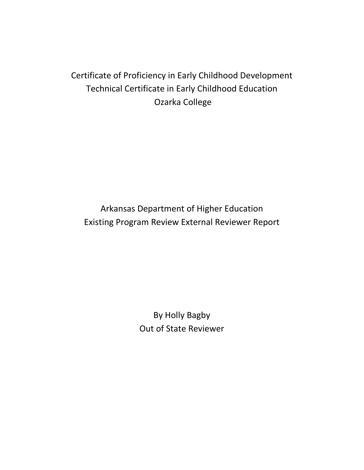## Certificate of Proficiency in Early Childhood Development Technical Certificate in Early Childhood Education Ozarka College

Arkansas Department of Higher Education Existing Program Review External Reviewer Report

> By Holly Bagby Out of State Reviewer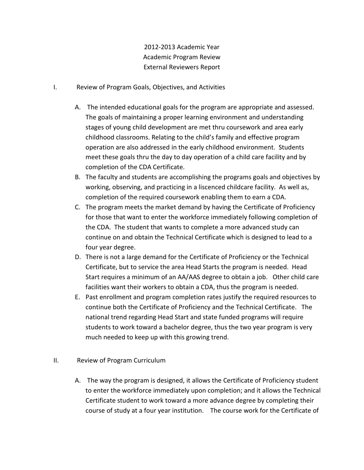2012-2013 Academic Year Academic Program Review External Reviewers Report

- I. Review of Program Goals, Objectives, and Activities
	- A. The intended educational goals for the program are appropriate and assessed. The goals of maintaining a proper learning environment and understanding stages of young child development are met thru coursework and area early childhood classrooms. Relating to the child's family and effective program operation are also addressed in the early childhood environment. Students meet these goals thru the day to day operation of a child care facility and by completion of the CDA Certificate.
	- B. The faculty and students are accomplishing the programs goals and objectives by working, observing, and practicing in a liscenced childcare facility. As well as, completion of the required coursework enabling them to earn a CDA.
	- C. The program meets the market demand by having the Certificate of Proficiency for those that want to enter the workforce immediately following completion of the CDA. The student that wants to complete a more advanced study can continue on and obtain the Technical Certificate which is designed to lead to a four year degree.
	- D. There is not a large demand for the Certificate of Proficiency or the Technical Certificate, but to service the area Head Starts the program is needed. Head Start requires a minimum of an AA/AAS degree to obtain a job. Other child care facilities want their workers to obtain a CDA, thus the program is needed.
	- E. Past enrollment and program completion rates justify the required resources to continue both the Certificate of Proficiency and the Technical Certificate. The national trend regarding Head Start and state funded programs will require students to work toward a bachelor degree, thus the two year program is very much needed to keep up with this growing trend.
- II. Review of Program Curriculum
	- A. The way the program is designed, it allows the Certificate of Proficiency student to enter the workforce immediately upon completion; and it allows the Technical Certificate student to work toward a more advance degree by completing their course of study at a four year institution. The course work for the Certificate of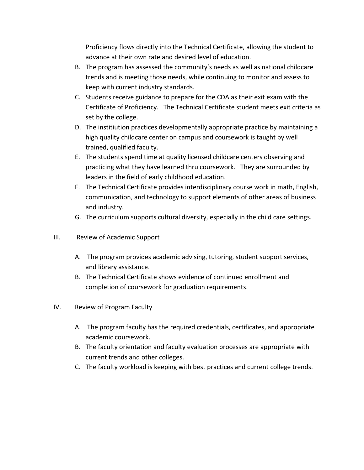Proficiency flows directly into the Technical Certificate, allowing the student to advance at their own rate and desired level of education.

- B. The program has assessed the community's needs as well as national childcare trends and is meeting those needs, while continuing to monitor and assess to keep with current industry standards.
- C. Students receive guidance to prepare for the CDA as their exit exam with the Certificate of Proficiency. The Technical Certificate student meets exit criteria as set by the college.
- D. The institiution practices developmentally appropriate practice by maintaining a high quality childcare center on campus and coursework is taught by well trained, qualified faculty.
- E. The students spend time at quality licensed childcare centers observing and practicing what they have learned thru coursework. They are surrounded by leaders in the field of early childhood education.
- F. The Technical Certificate provides interdisciplinary course work in math, English, communication, and technology to support elements of other areas of business and industry.
- G. The curriculum supports cultural diversity, especially in the child care settings.
- III. Review of Academic Support
	- A. The program provides academic advising, tutoring, student support services, and library assistance.
	- B. The Technical Certificate shows evidence of continued enrollment and completion of coursework for graduation requirements.
- IV. Review of Program Faculty
	- A. The program faculty has the required credentials, certificates, and appropriate academic coursework.
	- B. The faculty orientation and faculty evaluation processes are appropriate with current trends and other colleges.
	- C. The faculty workload is keeping with best practices and current college trends.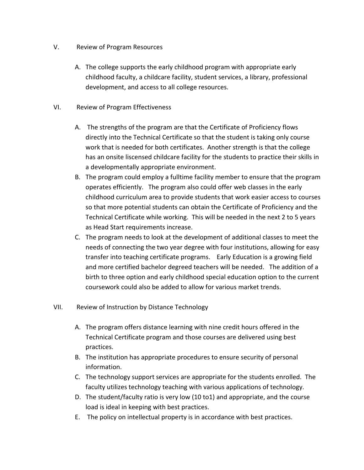## V. Review of Program Resources

A. The college supports the early childhood program with appropriate early childhood faculty, a childcare facility, student services, a library, professional development, and access to all college resources.

## VI. Review of Program Effectiveness

- A. The strengths of the program are that the Certificate of Proficiency flows directly into the Technical Certificate so that the student is taking only course work that is needed for both certificates. Another strength is that the college has an onsite liscensed childcare facility for the students to practice their skills in a developmentally appropriate environment.
- B. The program could employ a fulltime facility member to ensure that the program operates efficiently. The program also could offer web classes in the early childhood curriculum area to provide students that work easier access to courses so that more potential students can obtain the Certificate of Proficiency and the Technical Certificate while working. This will be needed in the next 2 to 5 years as Head Start requirements increase.
- C. The program needs to look at the development of additional classes to meet the needs of connecting the two year degree with four institutions, allowing for easy transfer into teaching certificate programs. Early Education is a growing field and more certified bachelor degreed teachers will be needed. The addition of a birth to three option and early childhood special education option to the current coursework could also be added to allow for various market trends.

## VII. Review of Instruction by Distance Technology

- A. The program offers distance learning with nine credit hours offered in the Technical Certificate program and those courses are delivered using best practices.
- B. The institution has appropriate procedures to ensure security of personal information.
- C. The technology support services are appropriate for the students enrolled. The faculty utilizes technology teaching with various applications of technology.
- D. The student/faculty ratio is very low (10 to1) and appropriate, and the course load is ideal in keeping with best practices.
- E. The policy on intellectual property is in accordance with best practices.